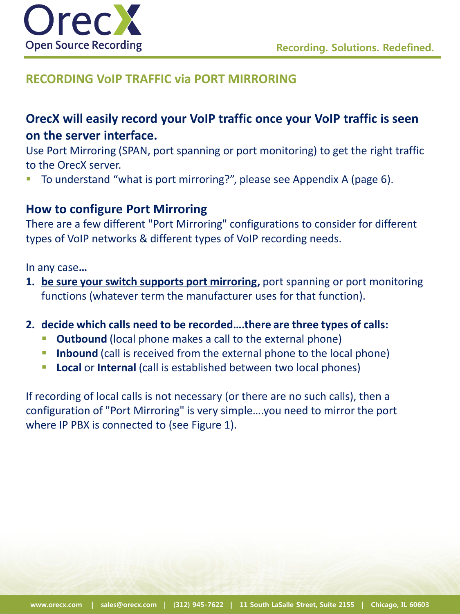

## **OrecX will easily record your VoIP traffic once your VoIP traffic is seen on the server interface.**

Use Port Mirroring (SPAN, port spanning or port monitoring) to get the right traffic to the OrecX server.

■ To understand "what is port mirroring?", please see Appendix A (page 6).

#### **How to configure Port Mirroring**

There are a few different "Port Mirroring" configurations to consider for different types of VoIP networks & different types of VoIP recording needs.

In any case**…** 

- **1. be sure your switch supports port mirroring,** port spanning or port monitoring functions (whatever term the manufacturer uses for that function).
- **2. decide which calls need to be recorded….there are three types of calls:**
	- **Outbound** (local phone makes a call to the external phone)
	- **Inbound** (call is received from the external phone to the local phone)
	- **Local** or **Internal** (call is established between two local phones)

If recording of local calls is not necessary (or there are no such calls), then a configuration of "Port Mirroring" is very simple….you need to mirror the port where IP PBX is connected to (see Figure 1).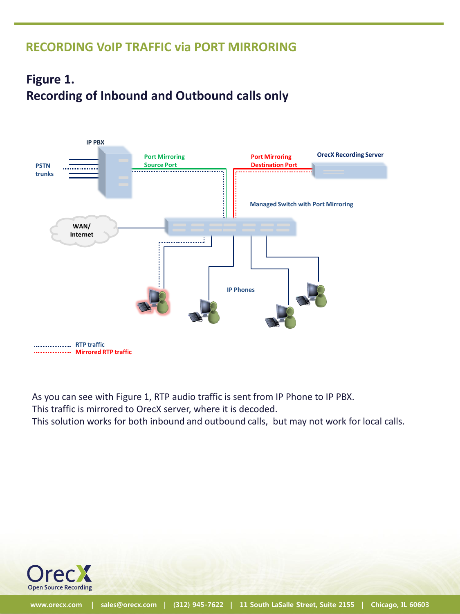# **Figure 1. Recording of Inbound and Outbound calls only**



As you can see with Figure 1, RTP audio traffic is sent from IP Phone to IP PBX. This traffic is mirrored to OrecX server, where it is decoded. This solution works for both inbound and outbound calls, but may not work for local calls.

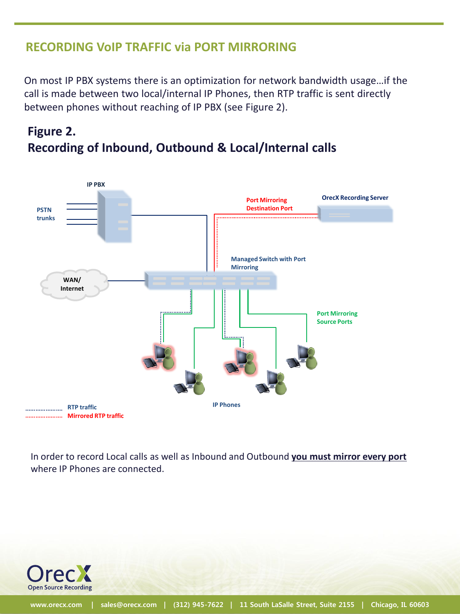On most IP PBX systems there is an optimization for network bandwidth usage…if the call is made between two local/internal IP Phones, then RTP traffic is sent directly between phones without reaching of IP PBX (see Figure 2).

# **Figure 2. Recording of Inbound, Outbound & Local/Internal calls**



In order to record Local calls as well as Inbound and Outbound **you must mirror every port** where IP Phones are connected.

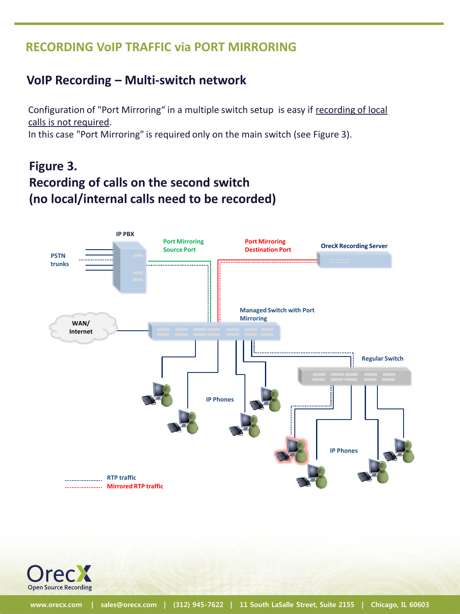#### **VoIP Recording – Multi-switch network**

Configuration of "Port Mirroring" in a multiple switch setup is easy if recording of local calls is not required.

In this case "Port Mirroring" is required only on the main switch (see Figure 3).

# **Figure 3. Recording of calls on the second switch (no local/internal calls need to be recorded)**



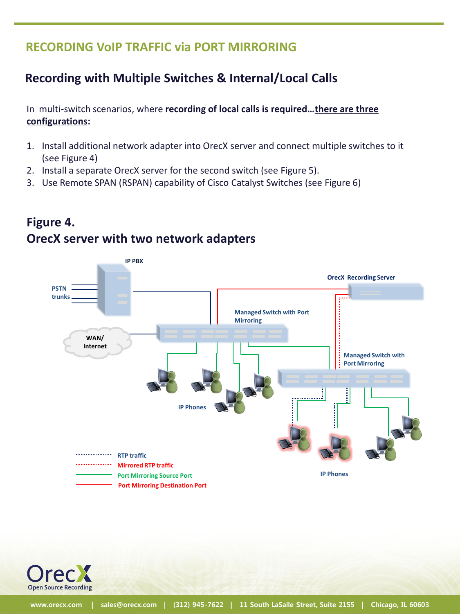## **Recording with Multiple Switches & Internal/Local Calls**

In multi-switch scenarios, where **recording of local calls is required…there are three configurations:**

- 1. Install additional network adapter into OrecX server and connect multiple switches to it (see Figure 4)
- 2. Install a separate OrecX server for the second switch (see Figure 5).
- 3. Use Remote SPAN (RSPAN) capability of Cisco Catalyst Switches (see Figure 6)



# **Figure 4. OrecX server with two network adapters**

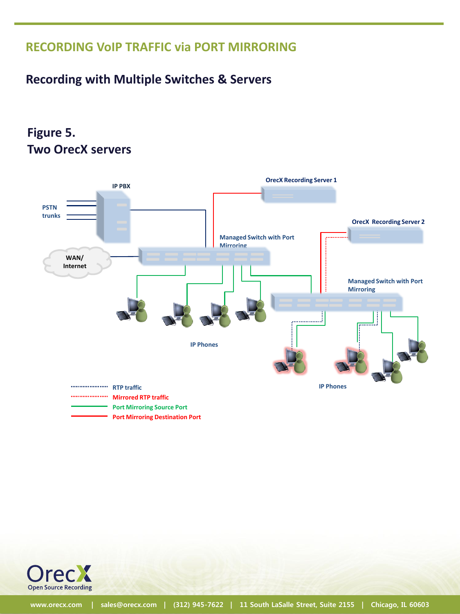#### **Recording with Multiple Switches & Servers**

# **Figure 5. Two OrecX servers**



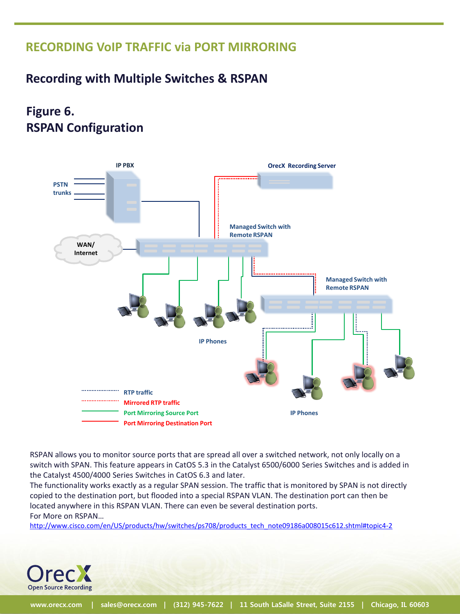#### **Recording with Multiple Switches & RSPAN**

## **Figure 6. RSPAN Configuration**



RSPAN allows you to monitor source ports that are spread all over a switched network, not only locally on a switch with SPAN. This feature appears in CatOS 5.3 in the Catalyst 6500/6000 Series Switches and is added in the Catalyst 4500/4000 Series Switches in CatOS 6.3 and later.

The functionality works exactly as a regular SPAN session. The traffic that is monitored by SPAN is not directly copied to the destination port, but flooded into a special RSPAN VLAN. The destination port can then be located anywhere in this RSPAN VLAN. There can even be several destination ports. For More on RSPAN…

[http://www.cisco.com/en/US/products/hw/switches/ps708/products\\_tech\\_note09186a008015c612.shtml#topic4-2](http://www.cisco.com/en/US/products/hw/switches/ps708/products_tech_note09186a008015c612.shtml)

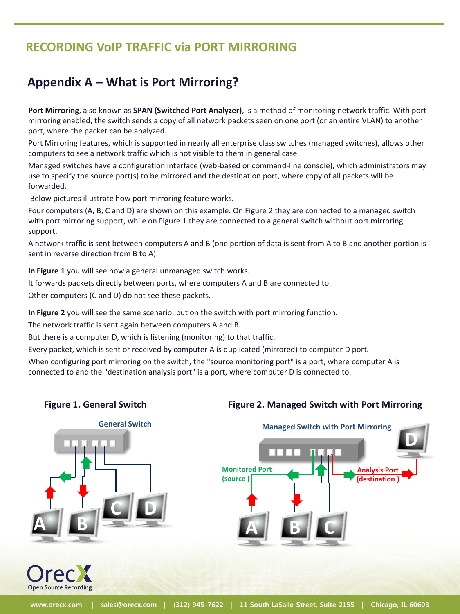#### **Appendix A – What is Port Mirroring?**

**Port Mirroring**, also known as **SPAN (Switched Port Analyzer)**, is a method of monitoring network traffic. With port mirroring enabled, the switch sends a copy of all network packets seen on one port (or an entire VLAN) to another port, where the packet can be analyzed.

Port Mirroring features, which is supported in nearly all enterprise class switches (managed switches), allows other computers to see a network traffic which is not visible to them in general case.

Managed switches have a configuration interface (web-based or command-line console), which administrators may use to specify the source port(s) to be mirrored and the destination port, where copy of all packets will be forwarded.

Below pictures illustrate how port mirroring feature works.

Four computers (A, B, C and D) are shown on this example. On Figure 2 they are connected to a managed switch with port mirroring support, while on Figure 1 they are connected to a general switch without port mirroring support.

A network traffic is sent between computers A and B (one portion of data is sent from A to B and another portion is sent in reverse direction from B to A).

**In Figure 1** you will see how a general unmanaged switch works.

It forwards packets directly between ports, where computers A and B are connected to.

Other computers (C and D) do not see these packets.

**In Figure 2** you will see the same scenario, but on the switch with port mirroring function.

The network traffic is sent again between computers A and B.

But there is a computer D, which is listening (monitoring) to that traffic.

Every packet, which is sent or received by computer A is duplicated (mirrored) to computer D port.

When configuring port mirroring on the switch, the "source monitoring port" is a port, where computer A is connected to and the "destination analysis port" is a port, where computer D is connected to.

#### **Figure 1. General Switch**

#### **Figure 2. Managed Switch with Port Mirroring**